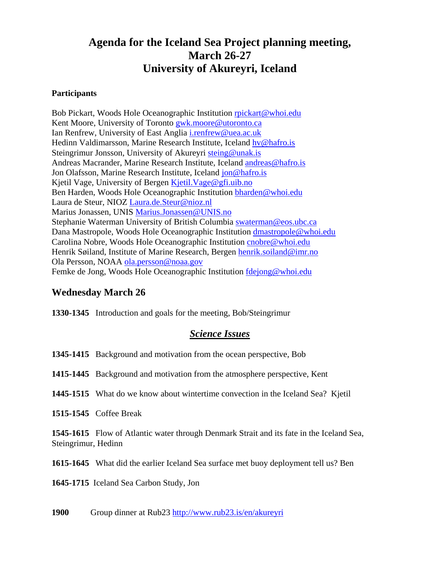# **Agenda for the Iceland Sea Project planning meeting, March 26-27 University of Akureyri, Iceland**

#### **Participants**

Bob Pickart, Woods Hole Oceanographic Institution rpickart@whoi.edu Kent Moore, University of Toronto gwk.moore@utoronto.ca Ian Renfrew, University of East Anglia i.renfrew@uea.ac.uk Hedinn Valdimarsson, Marine Research Institute, Iceland hv@hafro.is Steingrimur Jonsson, University of Akureyri steing@unak.is Andreas Macrander, Marine Research Institute, Iceland andreas@hafro.is Jon Olafsson, Marine Research Institute, Iceland jon@hafro.is Kjetil Vage, University of Bergen Kjetil.Vage@gfi.uib.no Ben Harden, Woods Hole Oceanographic Institution bharden@whoi.edu Laura de Steur, NIOZ Laura.de.Steur@nioz.nl Marius Jonassen, UNIS Marius.Jonassen@UNIS.no Stephanie Waterman University of British Columbia swaterman@eos.ubc.ca Dana Mastropole, Woods Hole Oceanographic Institution dmastropole@whoi.edu Carolina Nobre, Woods Hole Oceanographic Institution cnobre@whoi.edu Henrik Søiland, Institute of Marine Research, Bergen henrik.soiland@imr.no Ola Persson, NOAA ola.persson@noaa.gov Femke de Jong, Woods Hole Oceanographic Institution fdejong@whoi.edu

# **Wednesday March 26**

**1330-1345** Introduction and goals for the meeting, Bob/Steingrimur

# *Science Issues*

**1345-1415** Background and motivation from the ocean perspective, Bob

**1415-1445** Background and motivation from the atmosphere perspective, Kent

**1445-1515** What do we know about wintertime convection in the Iceland Sea? Kjetil

**1515-1545** Coffee Break

**1545-1615** Flow of Atlantic water through Denmark Strait and its fate in the Iceland Sea, Steingrimur, Hedinn

**1615-1645** What did the earlier Iceland Sea surface met buoy deployment tell us? Ben

**1645-1715** Iceland Sea Carbon Study, Jon

**1900** Group dinner at Rub23 http://www.rub23.is/en/akureyri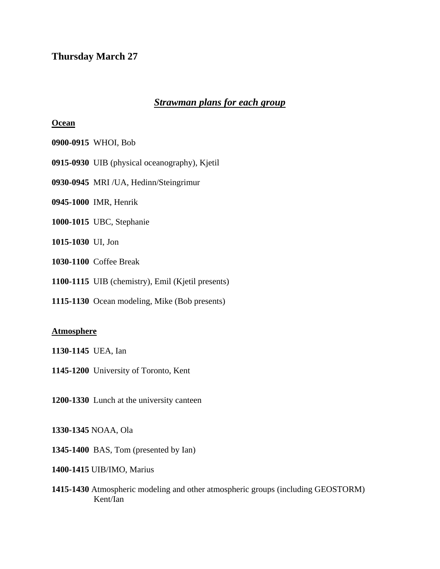# **Thursday March 27**

# *Strawman plans for each group*

#### **Ocean**

- **0900-0915** WHOI, Bob
- **0915-0930** UIB (physical oceanography), Kjetil
- **0930-0945** MRI /UA, Hedinn/Steingrimur
- **0945-1000** IMR, Henrik
- **1000-1015** UBC, Stephanie
- **1015-1030** UI, Jon
- **1030-1100** Coffee Break
- **1100-1115** UIB (chemistry), Emil (Kjetil presents)
- **1115-1130** Ocean modeling, Mike (Bob presents)

#### **Atmosphere**

- **1130-1145** UEA, Ian
- **1145-1200** University of Toronto, Kent
- **1200-1330** Lunch at the university canteen
- **1330-1345** NOAA, Ola
- **1345-1400** BAS, Tom (presented by Ian)
- **1400-1415** UIB/IMO, Marius
- **1415-1430** Atmospheric modeling and other atmospheric groups (including GEOSTORM) Kent/Ian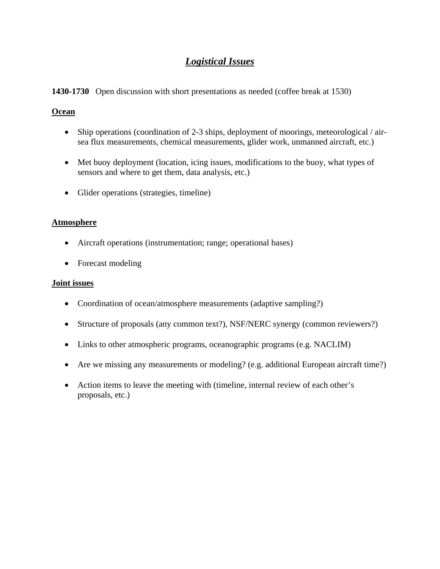# *Logistical Issues*

# **1430-1730** Open discussion with short presentations as needed (coffee break at 1530)

## **Ocean**

- Ship operations (coordination of 2-3 ships, deployment of moorings, meteorological / airsea flux measurements, chemical measurements, glider work, unmanned aircraft, etc.)
- Met buoy deployment (location, icing issues, modifications to the buoy, what types of sensors and where to get them, data analysis, etc.)
- Glider operations (strategies, timeline)

### **Atmosphere**

- Aircraft operations (instrumentation; range; operational bases)
- Forecast modeling

### **Joint issues**

- Coordination of ocean/atmosphere measurements (adaptive sampling?)
- Structure of proposals (any common text?), NSF/NERC synergy (common reviewers?)
- Links to other atmospheric programs, oceanographic programs (e.g. NACLIM)
- Are we missing any measurements or modeling? (e.g. additional European aircraft time?)
- Action items to leave the meeting with (timeline, internal review of each other's proposals, etc.)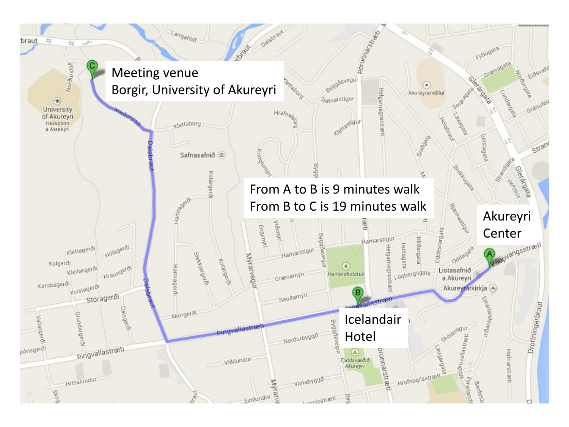